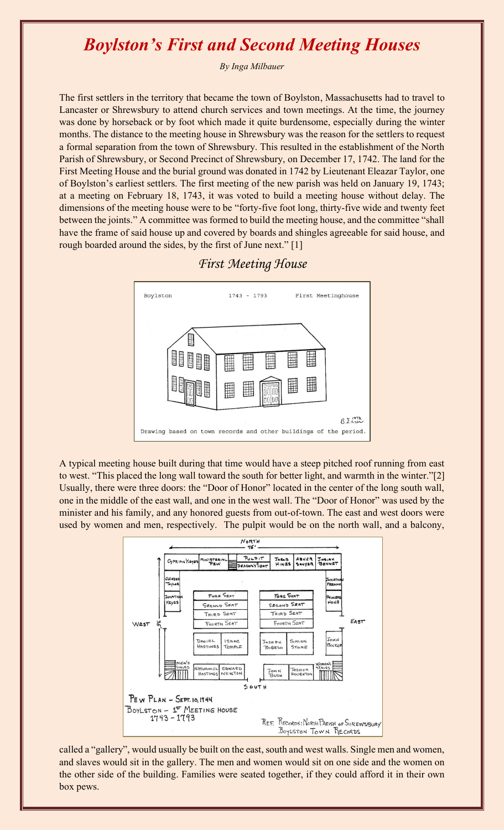## *Boylston's First and Second Meeting Houses*

*By Inga Milbauer*

The first settlers in the territory that became the town of Boylston, Massachusetts had to travel to Lancaster or Shrewsbury to attend church services and town meetings. At the time, the journey was done by horseback or by foot which made it quite burdensome, especially during the winter months. The distance to the meeting house in Shrewsbury was the reason for the settlers to request a formal separation from the town of Shrewsbury. This resulted in the establishment of the North Parish of Shrewsbury, or Second Precinct of Shrewsbury, on December 17, 1742. The land for the First Meeting House and the burial ground was donated in 1742 by Lieutenant Eleazar Taylor, one of Boylston's earliest settlers. The first meeting of the new parish was held on January 19, 1743; at a meeting on February 18, 1743, it was voted to build a meeting house without delay. The dimensions of the meeting house were to be "forty-five foot long, thirty-five wide and twenty feet between the joints." A committee was formed to build the meeting house, and the committee "shall have the frame of said house up and covered by boards and shingles agreeable for said house, and rough boarded around the sides, by the first of June next." [1]





A typical meeting house built during that time would have a steep pitched roof running from east to west. "This placed the long wall toward the south for better light, and warmth in the winter."[2] Usually, there were three doors: the "Door of Honor" located in the center of the long south wall, one in the middle of the east wall, and one in the west wall. The "Door of Honor" was used by the minister and his family, and any honored guests from out-of-town. The east and west doors were used by women and men, respectively. The pulpit would be on the north wall, and a balcony,



called a "gallery", would usually be built on the east, south and west walls. Single men and women, and slaves would sit in the gallery. The men and women would sit on one side and the women on the other side of the building. Families were seated together, if they could afford it in their own box pews.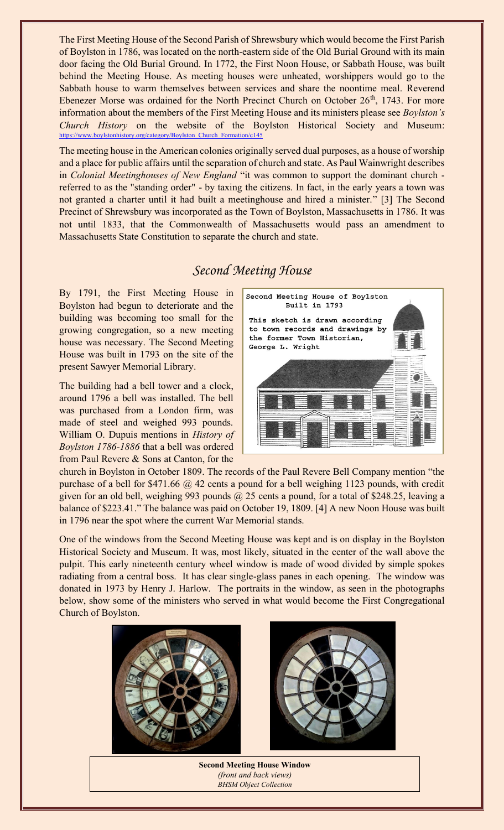The First Meeting House of the Second Parish of Shrewsbury which would become the First Parish of Boylston in 1786, was located on the north-eastern side of the Old Burial Ground with its main door facing the Old Burial Ground. In 1772, the First Noon House, or Sabbath House, was built behind the Meeting House. As meeting houses were unheated, worshippers would go to the Sabbath house to warm themselves between services and share the noontime meal. Reverend Ebenezer Morse was ordained for the North Precinct Church on October  $26<sup>th</sup>$ , 1743. For more information about the members of the First Meeting House and its ministers please see *Boylston's Church History* on the website of the Boylston Historical Society and Museum: [https://www.boylstonhistory.org/category/Boylston\\_Church\\_Formation/c145](https://www.boylstonhistory.org/category/Boylston_Church_Formation/c145)

The meeting house in the American colonies originally served dual purposes, as a house of worship and a place for public affairs until the separation of church and state. As Paul Wainwright describes in *Colonial Meetinghouses of New England* "it was common to support the dominant church referred to as the "standing order" - by taxing the citizens. In fact, in the early years a town was not granted a charter until it had built a meetinghouse and hired a minister." [3] The Second Precinct of Shrewsbury was incorporated as the Town of Boylston, Massachusetts in 1786. It was not until 1833, that the Commonwealth of Massachusetts would pass an amendment to Massachusetts State Constitution to separate the church and state.

## *Second Meeting House*

By 1791, the First Meeting House in Boylston had begun to deteriorate and the building was becoming too small for the growing congregation, so a new meeting house was necessary. The Second Meeting House was built in 1793 on the site of the present Sawyer Memorial Library.

The building had a bell tower and a clock, around 1796 a bell was installed. The bell was purchased from a London firm, was made of steel and weighed 993 pounds. William O. Dupuis mentions in *History of Boylston 1786-1886* that a bell was ordered from Paul Revere & Sons at Canton, for the



church in Boylston in October 1809. The records of the Paul Revere Bell Company mention "the purchase of a bell for \$471.66 @ 42 cents a pound for a bell weighing 1123 pounds, with credit given for an old bell, weighing 993 pounds @ 25 cents a pound, for a total of \$248.25, leaving a balance of \$223.41." The balance was paid on October 19, 1809. [4] A new Noon House was built in 1796 near the spot where the current War Memorial stands.

One of the windows from the Second Meeting House was kept and is on display in the Boylston Historical Society and Museum. It was, most likely, situated in the center of the wall above the pulpit. This early nineteenth century wheel window is made of wood divided by simple spokes radiating from a central boss. It has clear single-glass panes in each opening. The window was donated in 1973 by Henry J. Harlow. The portraits in the window, as seen in the photographs below, show some of the ministers who served in what would become the First Congregational Church of Boylston.



**Second Meeting House Window**  *(front and back views) BHSM Object Collection*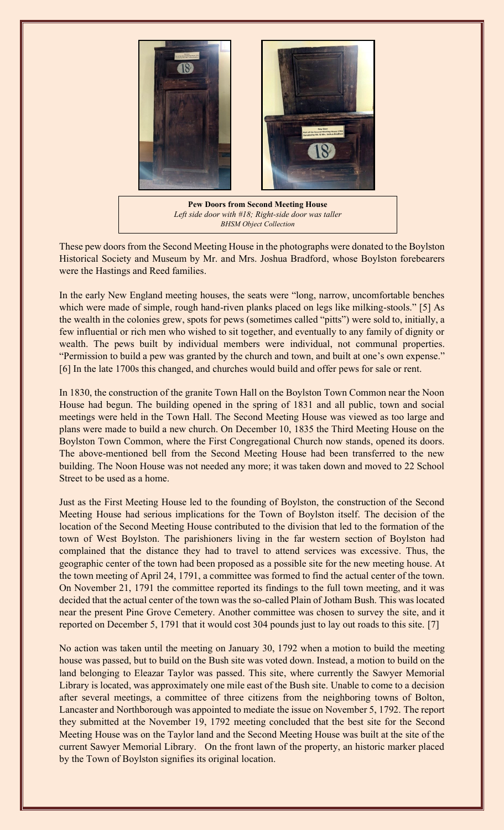

**Pew Doors from Second Meeting House** *Left side door with #18; Right-side door was taller BHSM Object Collection*

These pew doors from the Second Meeting House in the photographs were donated to the Boylston Historical Society and Museum by Mr. and Mrs. Joshua Bradford, whose Boylston forebearers were the Hastings and Reed families.

In the early New England meeting houses, the seats were "long, narrow, uncomfortable benches which were made of simple, rough hand-riven planks placed on legs like milking-stools." [5] As the wealth in the colonies grew, spots for pews (sometimes called "pitts") were sold to, initially, a few influential or rich men who wished to sit together, and eventually to any family of dignity or wealth. The pews built by individual members were individual, not communal properties. "Permission to build a pew was granted by the church and town, and built at one's own expense." [6] In the late 1700s this changed, and churches would build and offer pews for sale or rent.

In 1830, the construction of the granite Town Hall on the Boylston Town Common near the Noon House had begun. The building opened in the spring of 1831 and all public, town and social meetings were held in the Town Hall. The Second Meeting House was viewed as too large and plans were made to build a new church. On December 10, 1835 the Third Meeting House on the Boylston Town Common, where the First Congregational Church now stands, opened its doors. The above-mentioned bell from the Second Meeting House had been transferred to the new building. The Noon House was not needed any more; it was taken down and moved to 22 School Street to be used as a home.

Just as the First Meeting House led to the founding of Boylston, the construction of the Second Meeting House had serious implications for the Town of Boylston itself. The decision of the location of the Second Meeting House contributed to the division that led to the formation of the town of West Boylston. The parishioners living in the far western section of Boylston had complained that the distance they had to travel to attend services was excessive. Thus, the geographic center of the town had been proposed as a possible site for the new meeting house. At the town meeting of April 24, 1791, a committee was formed to find the actual center of the town. On November 21, 1791 the committee reported its findings to the full town meeting, and it was decided that the actual center of the town was the so-called Plain of Jotham Bush. This was located near the present Pine Grove Cemetery. Another committee was chosen to survey the site, and it reported on December 5, 1791 that it would cost 304 pounds just to lay out roads to this site. [7]

No action was taken until the meeting on January 30, 1792 when a motion to build the meeting house was passed, but to build on the Bush site was voted down. Instead, a motion to build on the land belonging to Eleazar Taylor was passed. This site, where currently the Sawyer Memorial Library is located, was approximately one mile east of the Bush site. Unable to come to a decision after several meetings, a committee of three citizens from the neighboring towns of Bolton, Lancaster and Northborough was appointed to mediate the issue on November 5, 1792. The report they submitted at the November 19, 1792 meeting concluded that the best site for the Second Meeting House was on the Taylor land and the Second Meeting House was built at the site of the current Sawyer Memorial Library. On the front lawn of the property, an historic marker placed by the Town of Boylston signifies its original location.